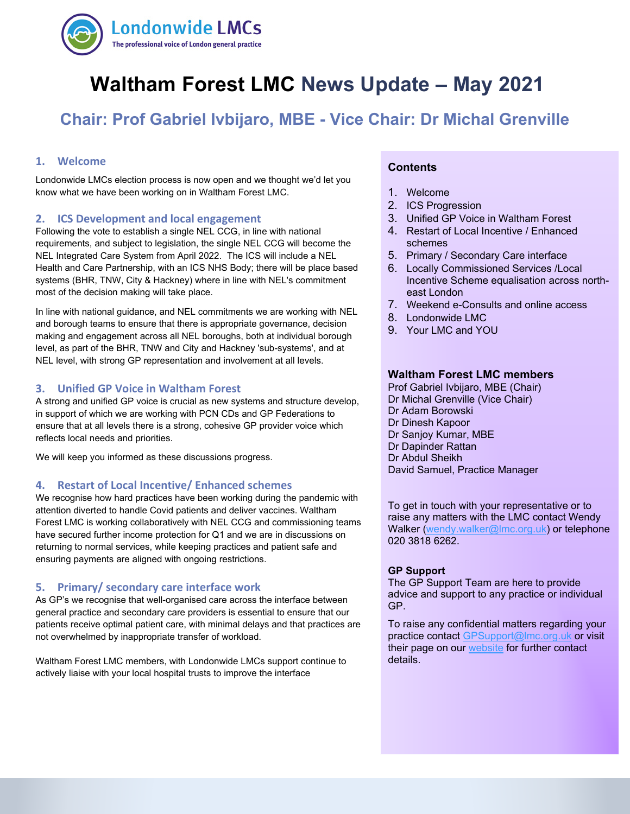

# **Waltham Forest LMC News Update – May 2021**

## **Chair: Prof Gabriel Ivbijaro, MBE - Vice Chair: Dr Michal Grenville**

## **1. Welcome**

Londonwide LMCs election process is now open and we thought we'd let you know what we have been working on in Waltham Forest LMC.

#### **2. ICS Development and local engagement**

Following the vote to establish a single NEL CCG, in line with national requirements, and subject to legislation, the single NEL CCG will become the NEL Integrated Care System from April 2022. The ICS will include a NEL Health and Care Partnership, with an ICS NHS Body; there will be place based systems (BHR, TNW, City & Hackney) where in line with NEL's commitment most of the decision making will take place.

In line with national guidance, and NEL commitments we are working with NEL and borough teams to ensure that there is appropriate governance, decision making and engagement across all NEL boroughs, both at individual borough level, as part of the BHR, TNW and City and Hackney 'sub-systems', and at NEL level, with strong GP representation and involvement at all levels.

#### **3. Unified GP Voice in Waltham Forest**

A strong and unified GP voice is crucial as new systems and structure develop, in support of which we are working with PCN CDs and GP Federations to ensure that at all levels there is a strong, cohesive GP provider voice which reflects local needs and priorities.

We will keep you informed as these discussions progress.

#### **4. Restart of Local Incentive/ Enhanced schemes**

We recognise how hard practices have been working during the pandemic with attention diverted to handle Covid patients and deliver vaccines. Waltham Forest LMC is working collaboratively with NEL CCG and commissioning teams have secured further income protection for Q1 and we are in discussions on returning to normal services, while keeping practices and patient safe and ensuring payments are aligned with ongoing restrictions.

#### **5. Primary/ secondary care interface work**

As GP's we recognise that well-organised care across the interface between general practice and secondary care providers is essential to ensure that our patients receive optimal patient care, with minimal delays and that practices are not overwhelmed by inappropriate transfer of workload.

Waltham Forest LMC members, with Londonwide LMCs support continue to actively liaise with your local hospital trusts to improve the interface

## **Contents**

- 1. Welcome
- 2. ICS Progression
- 3. Unified GP Voice in Waltham Forest
- 4. Restart of Local Incentive / Enhanced schemes
- 5. Primary / Secondary Care interface
- 6. Locally Commissioned Services /Local Incentive Scheme equalisation across northeast London
- 7. Weekend e-Consults and online access
- 8. Londonwide LMC
- 9. Your LMC and YOU

#### **Waltham Forest LMC members**

Prof Gabriel Ivbijaro, MBE (Chair) Dr Michal Grenville (Vice Chair) Dr Adam Borowski Dr Dinesh Kapoor Dr Sanjoy Kumar, MBE Dr Dapinder Rattan Dr Abdul Sheikh David Samuel, Practice Manager

To get in touch with your representative or to raise any matters with the LMC contact Wendy Walker [\(wendy.walker@lmc.org.uk\)](mailto:wendy.walker@lmc.org.uk) or telephone 020 3818 6262.

#### **GP Support**

The GP Support Team are here to provide advice and support to any practice or individual GP.

To raise any confidential matters regarding your practice contact [GPSupport@lmc.org.uk](mailto:GPSupport@lmc.org.uk) or visit their page on our [website](https://www.lmc.org.uk/page.php?id=39) for further contact details.